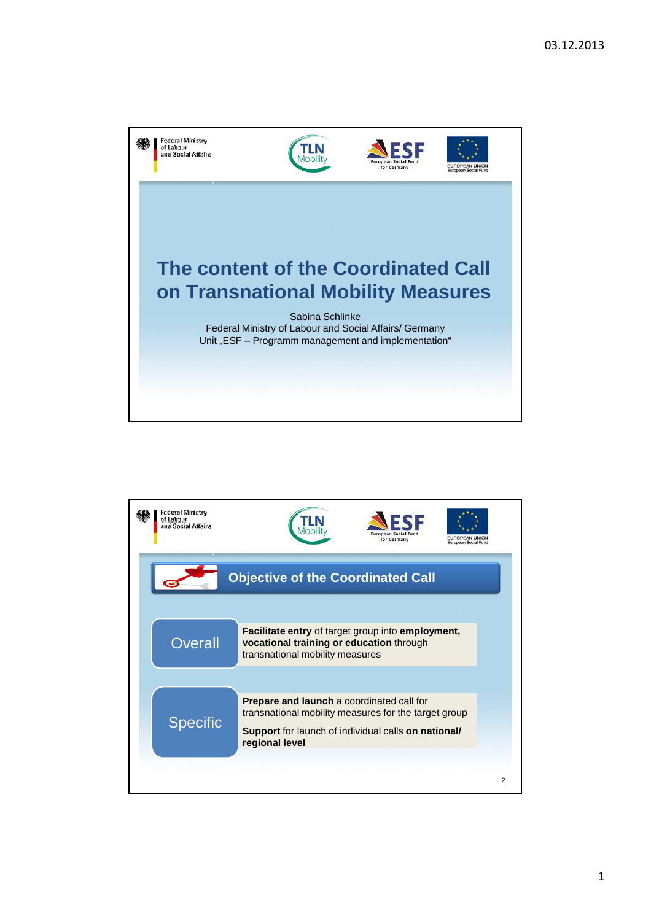

| Federal Ministry<br>of Labour<br>and Social Affairs | for Germany<br>European Social Fur                                                                                                   |                |
|-----------------------------------------------------|--------------------------------------------------------------------------------------------------------------------------------------|----------------|
| <b>Objective of the Coordinated Call</b>            |                                                                                                                                      |                |
| Overall                                             | Facilitate entry of target group into employment,<br>vocational training or education through<br>transnational mobility measures     |                |
|                                                     | Prepare and launch a coordinated call for                                                                                            |                |
| <b>Specific</b>                                     | transnational mobility measures for the target group<br><b>Support</b> for launch of individual calls on national/<br>regional level |                |
|                                                     |                                                                                                                                      | $\overline{2}$ |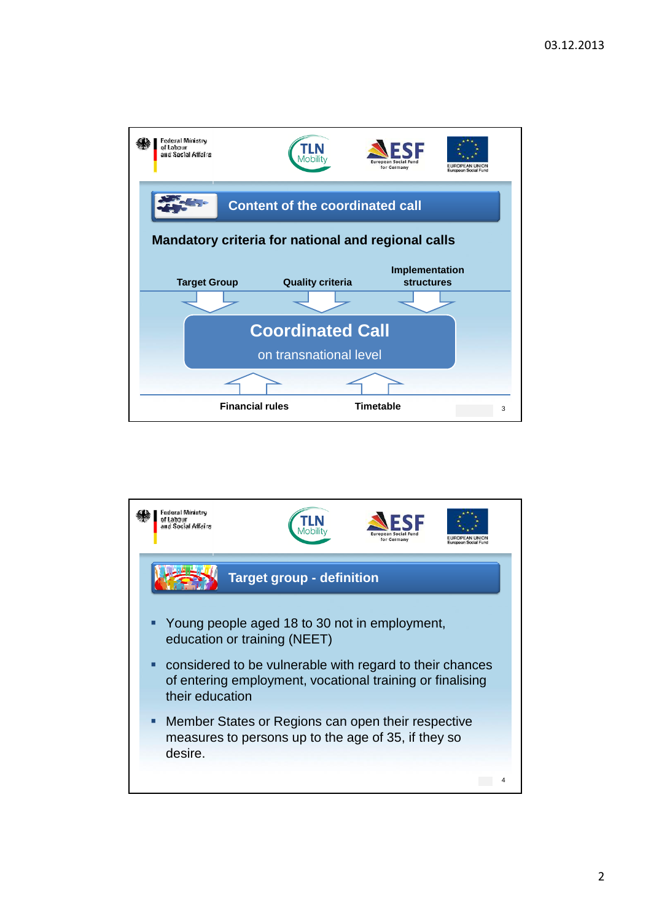

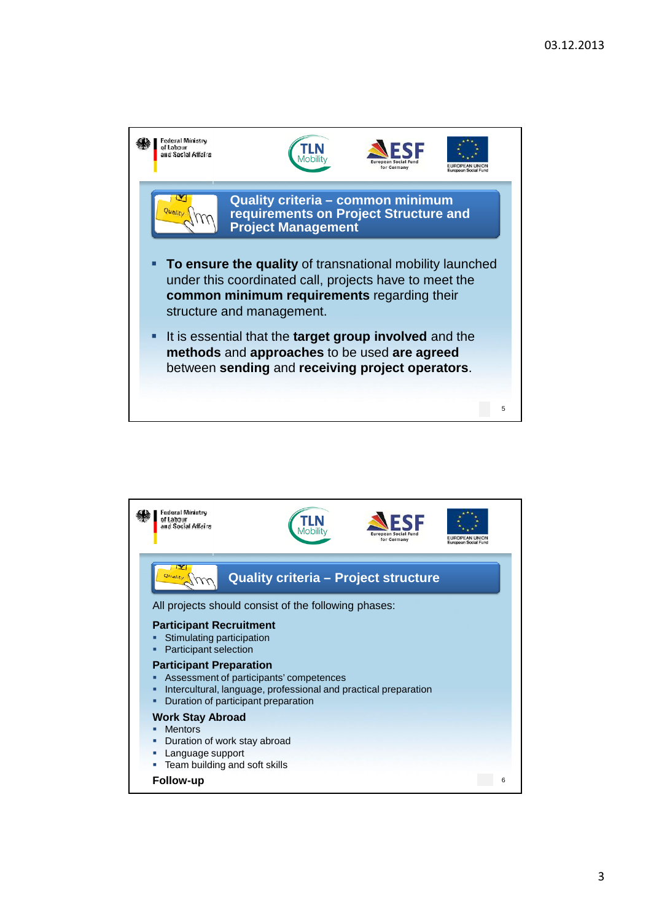

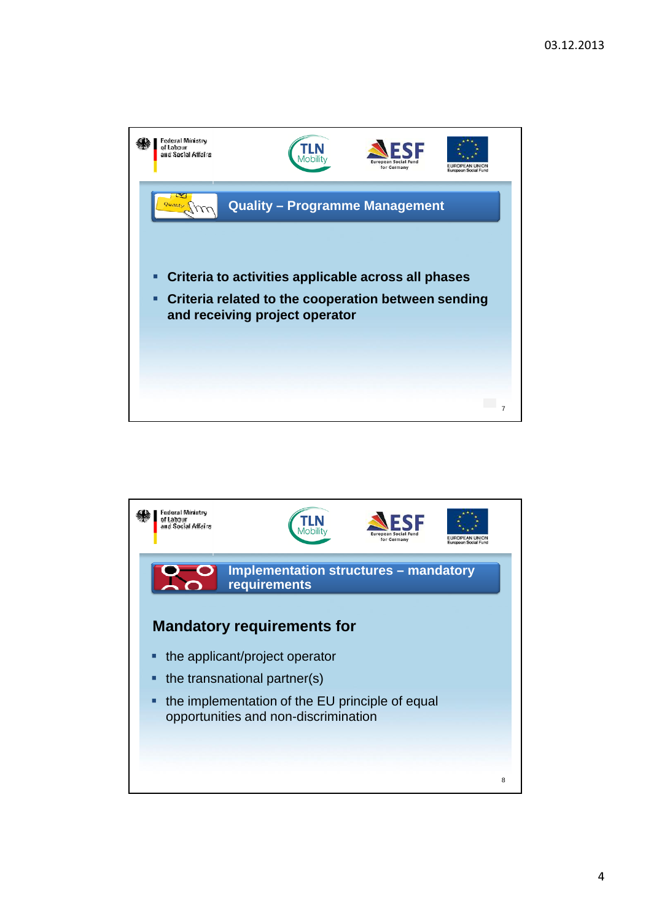

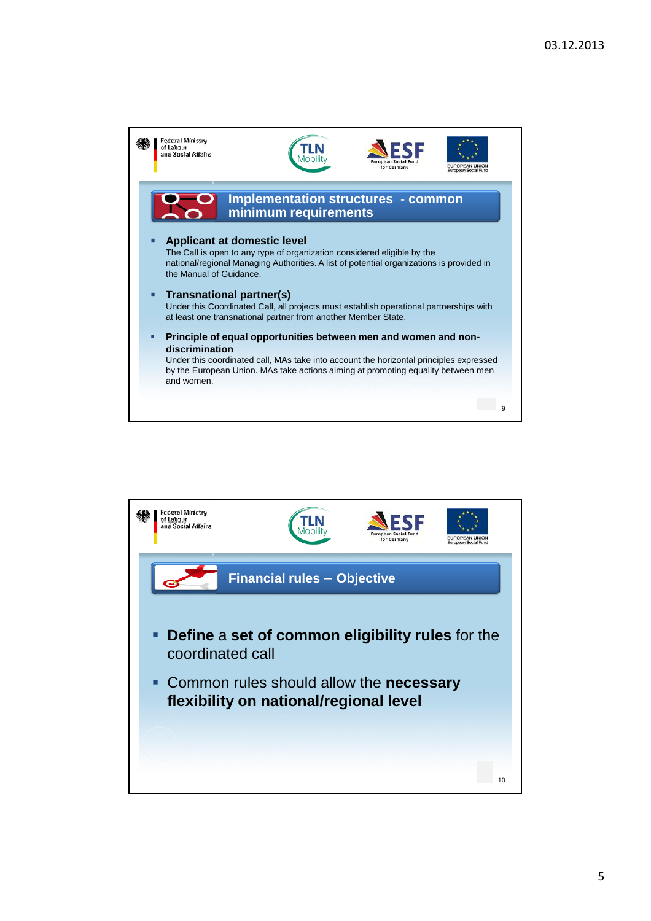

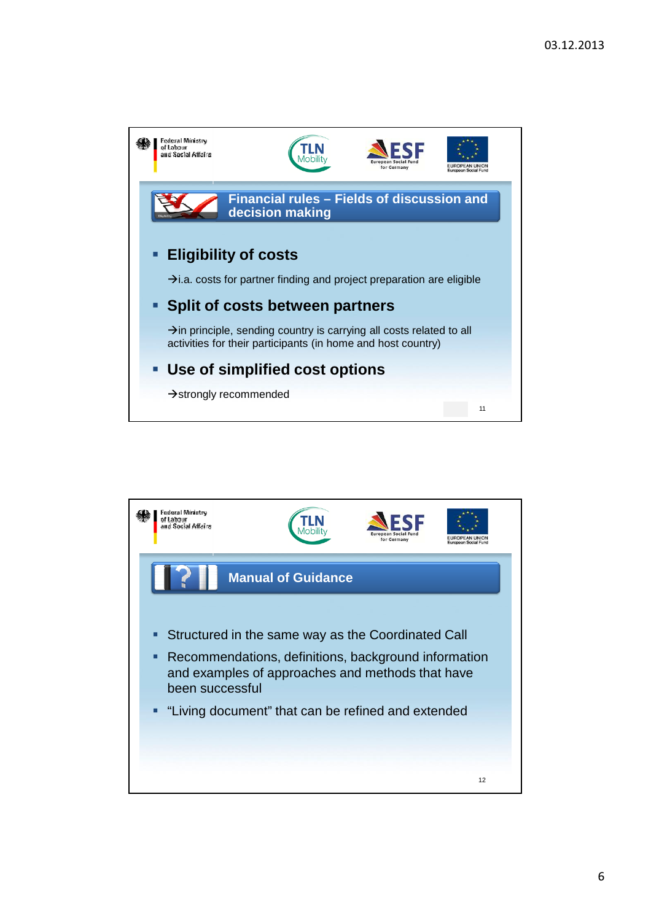